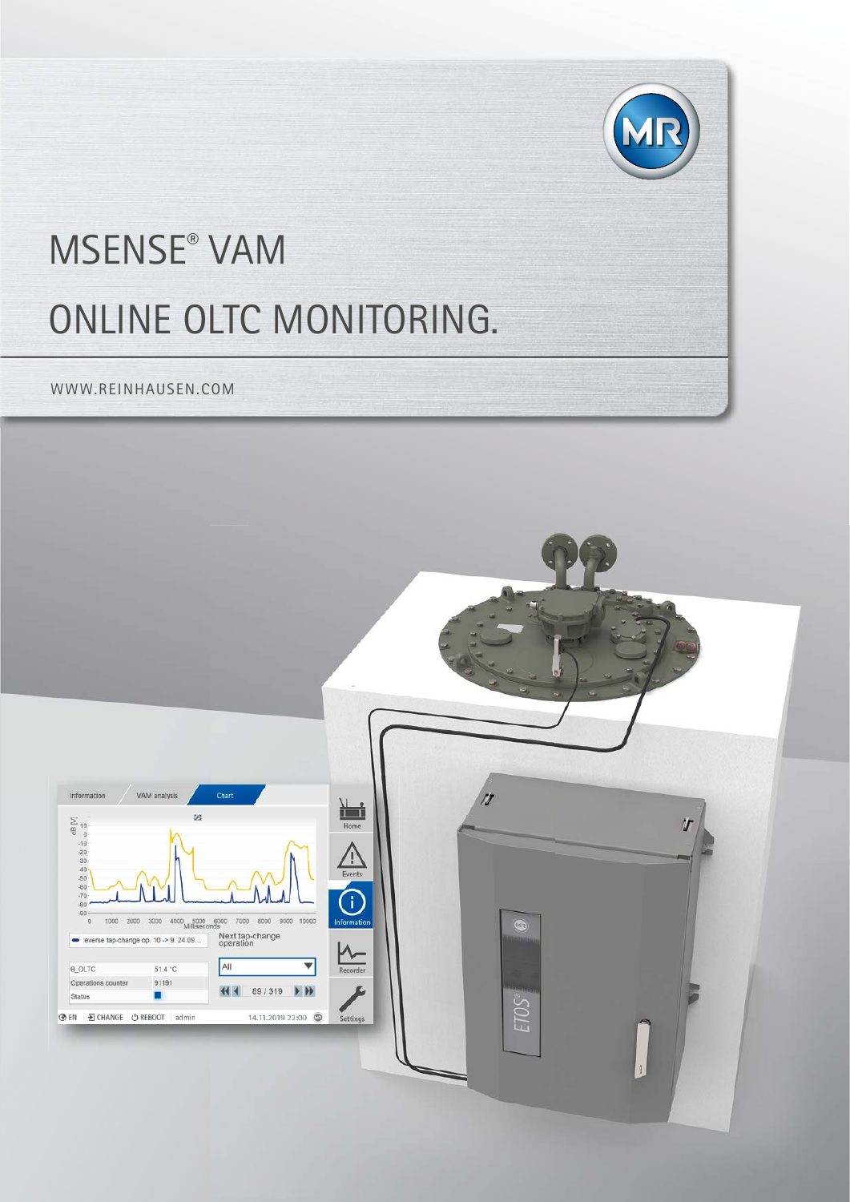

# MSENSE® VAM ONLINE OLTC MONITORING.

WWW.REINHAUSEN.COM

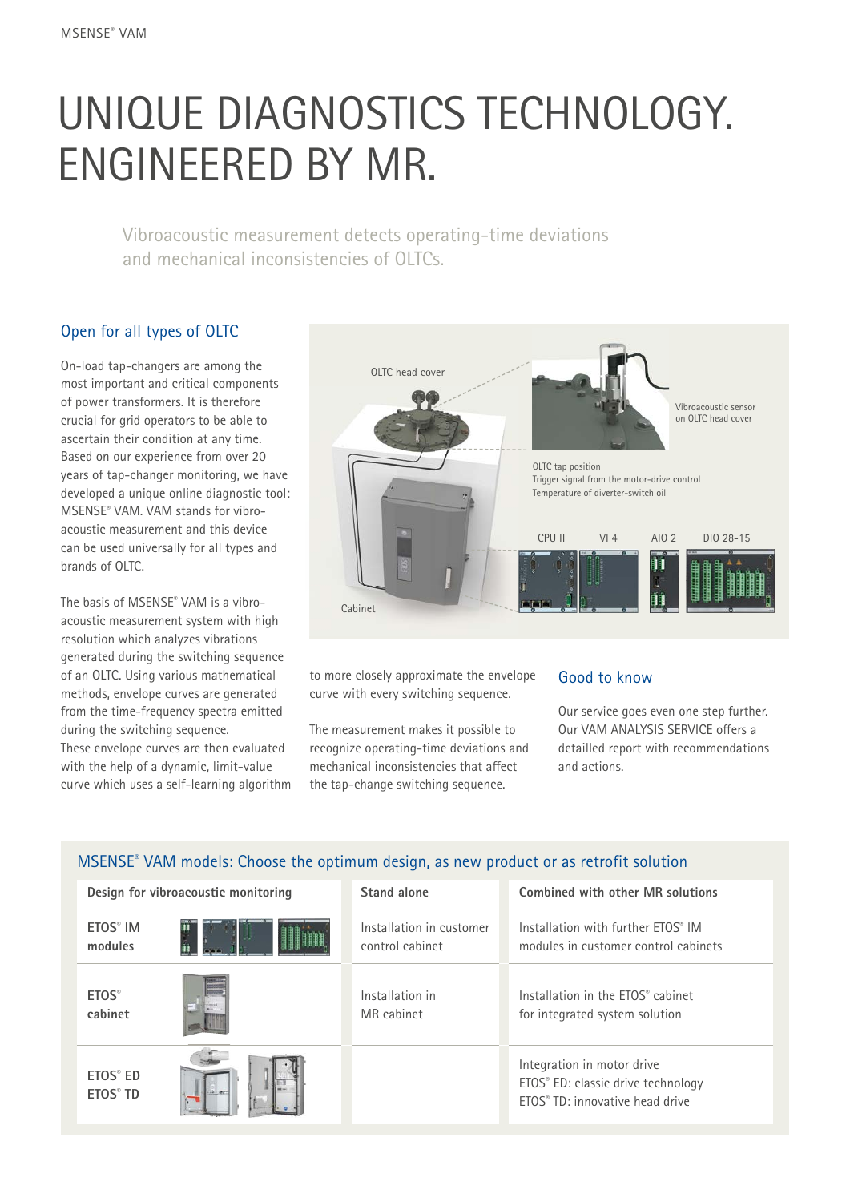## UNIQUE DIAGNOSTICS TECHNOLOGY. ENGINEERED BY MR.

Vibroacoustic measurement detects operating-time deviations and mechanical inconsistencies of OLTCs.

## Open for all types of OLTC

On-load tap-changers are among the most important and critical components of power transformers. It is therefore crucial for grid operators to be able to ascertain their condition at any time. Based on our experience from over 20 years of tap-changer monitoring, we have developed a unique online diagnostic tool: MSENSE® VAM. VAM stands for vibroacoustic measurement and this device can be used universally for all types and brands of OLTC.

The basis of MSENSE® VAM is a vibroacoustic measurement system with high resolution which analyzes vibrations generated during the switching sequence of an OLTC. Using various mathematical methods, envelope curves are generated from the time-frequency spectra emitted during the switching sequence. These envelope curves are then evaluated with the help of a dynamic, limit-value curve which uses a self-learning algorithm



to more closely approximate the envelope curve with every switching sequence.

The measurement makes it possible to recognize operating-time deviations and mechanical inconsistencies that affect the tap-change switching sequence.

#### Good to know

Our service goes even one step further. Our VAM ANALYSIS SERVICE offers a detailled report with recommendations and actions.

| Design for vibroacoustic monitoring                |                | Stand alone              | <b>Combined with other MR solutions</b>                                                             |
|----------------------------------------------------|----------------|--------------------------|-----------------------------------------------------------------------------------------------------|
| ETOS <sup>®</sup> IM                               |                | Installation in customer | Installation with further FTOS® IM                                                                  |
| modules                                            |                | control cabinet          | modules in customer control cabinets                                                                |
| <b>ETOS</b> <sup>®</sup>                           |                | Installation in          | Installation in the ETOS <sup>®</sup> cabinet                                                       |
| cabinet                                            |                | MR cabinet               | for integrated system solution                                                                      |
| ETOS <sup>®</sup> ED<br><b>ETOS<sup>®</sup> TD</b> | <b>CALL OF</b> |                          | Integration in motor drive<br>ETOS® ED: classic drive technology<br>ETOS® TD: innovative head drive |

## MSENSE® VAM models: Choose the optimum design, as new product or as retrofit solution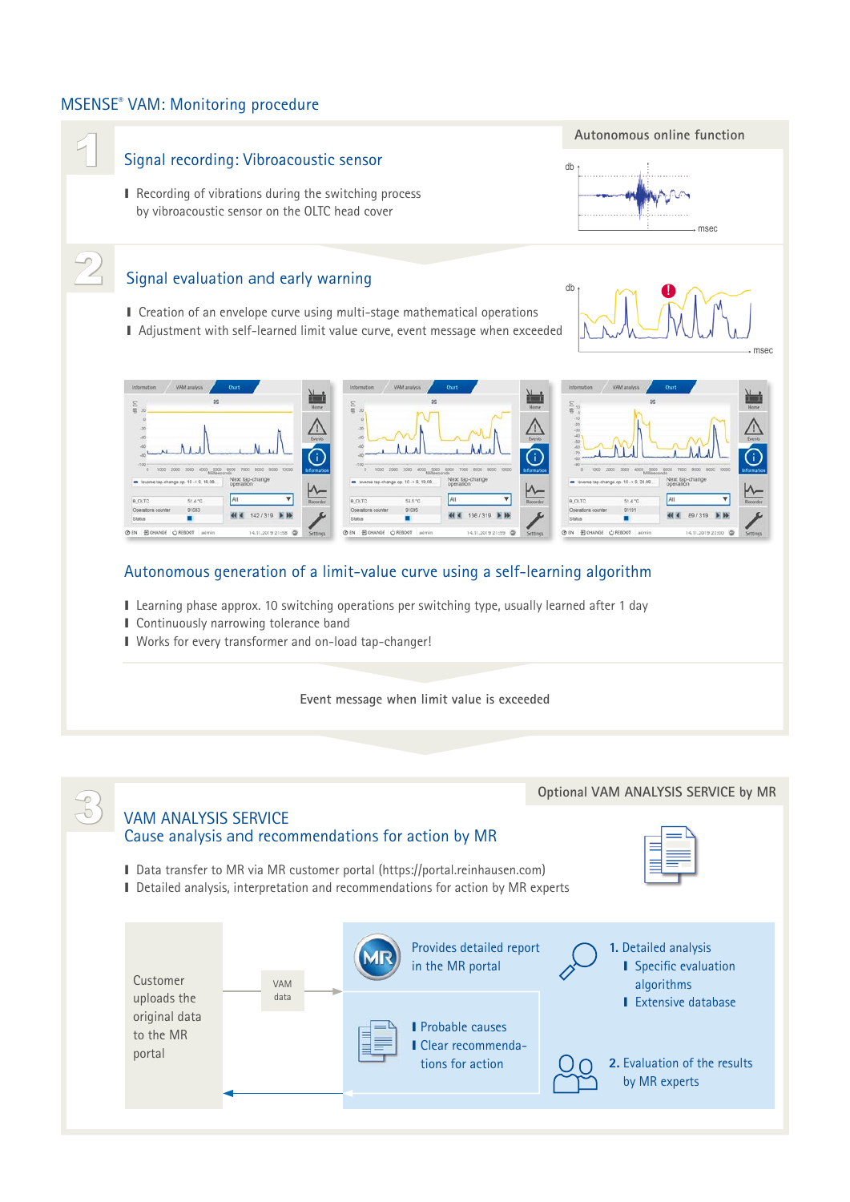### MSENSE® VAM: Monitoring procedure



- I Learning phase approx. 10 switching operations per switching type, usually learned after 1 day
- I Continuously narrowing tolerance band
- I Works for every transformer and on-load tap-changer!

#### **Event message when limit value is exceeded**